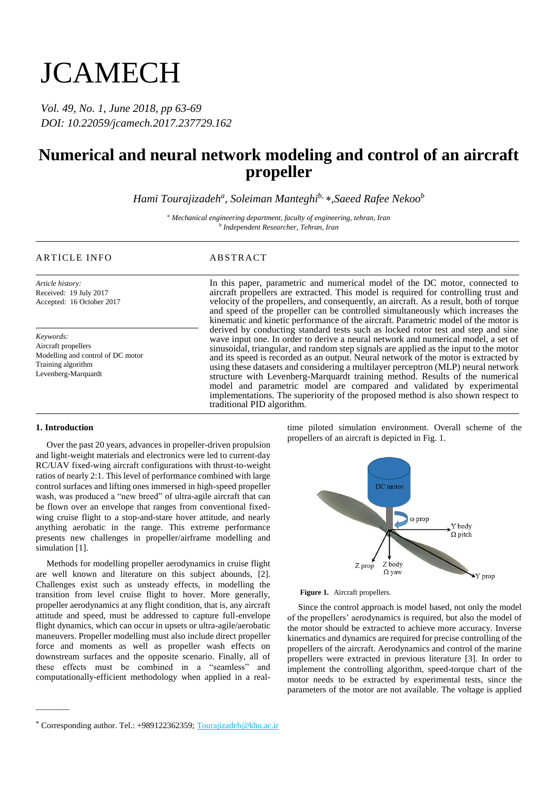# **JCAMECH**

*Vol. 49, No. 1, June 2018, pp 63-69 DOI: 10.22059/jcamech.2017.237729.162*

## **Numerical and neural network modeling and control of an aircraft propeller**

*Hami Tourajizadeh<sup>a</sup> , Soleiman Manteghib, ,Saeed Rafee Nekoo<sup>b</sup>*

*<sup>a</sup> Mechanical engineering department, faculty of engineering, tehran, Iran b Independent Researcher, Tehran, Iran*

### ARTICLE INFO ABSTRACT

*Article history:* Received: 19 July 2017 Accepted: 16 October 2017

*Keywords:* Aircraft propellers Modelling and control of DC motor Training algorithm Levenberg-Marquardt

In this paper, parametric and numerical model of the DC motor, connected to aircraft propellers are extracted. This model is required for controlling trust and velocity of the propellers, and consequently, an aircraft. As a result, both of torque and speed of the propeller can be controlled simultaneously which increases the kinematic and kinetic performance of the aircraft. Parametric model of the motor is derived by conducting standard tests such as locked rotor test and step and sine wave input one. In order to derive a neural network and numerical model, a set of sinusoidal, triangular, and random step signals are applied as the input to the motor and its speed is recorded as an output. Neural network of the motor is extracted by using these datasets and considering a multilayer perceptron (MLP) neural network structure with Levenberg-Marquardt training method. Results of the numerical model and parametric model are compared and validated by experimental implementations. The superiority of the proposed method is also shown respect to traditional PID algorithm.

#### **1. Introduction**

———

Over the past 20 years, advances in propeller-driven propulsion and light-weight materials and electronics were led to current-day RC/UAV fixed-wing aircraft configurations with thrust-to-weight ratios of nearly 2:1. This level of performance combined with large control surfaces and lifting ones immersed in high-speed propeller wash, was produced a "new breed" of ultra-agile aircraft that can be flown over an envelope that ranges from conventional fixedwing cruise flight to a stop-and-stare hover attitude, and nearly anything aerobatic in the range. This extreme performance presents new challenges in propeller/airframe modelling and simulation [1].

Methods for modelling propeller aerodynamics in cruise flight are well known and literature on this subject abounds, [2]. Challenges exist such as unsteady effects, in modelling the transition from level cruise flight to hover. More generally, propeller aerodynamics at any flight condition, that is, any aircraft attitude and speed, must be addressed to capture full-envelope flight dynamics, which can occur in upsets or ultra-agile/aerobatic maneuvers. Propeller modelling must also include direct propeller force and moments as well as propeller wash effects on downstream surfaces and the opposite scenario. Finally, all of these effects must be combined in a "seamless" and computationally-efficient methodology when applied in a real-

time piloted simulation environment. Overall scheme of the propellers of an aircraft is depicted in Fig. 1.



**Figure 1.** Aircraft propellers.

Since the control approach is model based, not only the model of the propellers' aerodynamics is required, but also the model of the motor should be extracted to achieve more accuracy. Inverse kinematics and dynamics are required for precise controlling of the propellers of the aircraft. Aerodynamics and control of the marine propellers were extracted in previous literature [3]. In order to implement the controlling algorithm, speed-torque chart of the motor needs to be extracted by experimental tests, since the parameters of the motor are not available. The voltage is applied

Corresponding author. Tel.: +989122362359; Tourajizadeh@khu.ac.ir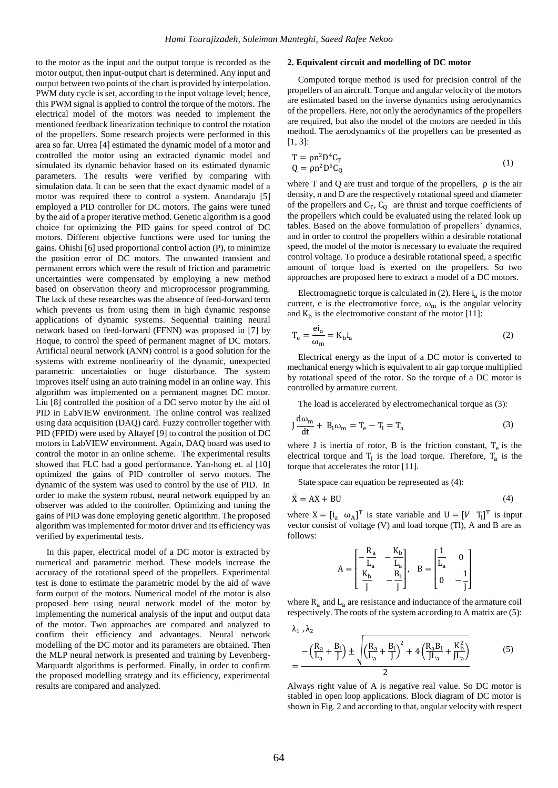to the motor as the input and the output torque is recorded as the motor output, then input-output chart is determined. Any input and output between two points of the chart is provided by interpolation. PWM duty cycle is set, according to the input voltage level; hence, this PWM signal is applied to control the torque of the motors. The electrical model of the motors was needed to implement the mentioned feedback linearization technique to control the rotation of the propellers. Some research projects were performed in this area so far. Urrea [4] estimated the dynamic model of a motor and controlled the motor using an extracted dynamic model and simulated its dynamic behavior based on its estimated dynamic parameters. The results were verified by comparing with simulation data. It can be seen that the exact dynamic model of a motor was required there to control a system. Anandaraju [5] employed a PID controller for DC motors. The gains were tuned by the aid of a proper iterative method. Genetic algorithm is a good choice for optimizing the PID gains for speed control of DC motors. Different objective functions were used for tuning the gains. Ohishi [6] used proportional control action (P), to minimize the position error of DC motors. The unwanted transient and permanent errors which were the result of friction and parametric uncertainties were compensated by employing a new method based on observation theory and microprocessor programming. The lack of these researches was the absence of feed-forward term which prevents us from using them in high dynamic response applications of dynamic systems. Sequential training neural network based on feed-forward (FFNN) was proposed in [7] by Hoque, to control the speed of permanent magnet of DC motors. Artificial neural network (ANN) control is a good solution for the systems with extreme nonlinearity of the dynamic, unexpected parametric uncertainties or huge disturbance. The system improves itself using an auto training model in an online way. This algorithm was implemented on a permanent magnet DC motor. Liu [8] controlled the position of a DC servo motor by the aid of PID in LabVIEW environment. The online control was realized using data acquisition (DAQ) card. Fuzzy controller together with PID (FPID) were used by Altayef [9] to control the position of DC motors in LabVIEW environment. Again, DAQ board was used to control the motor in an online scheme. The experimental results showed that FLC had a good performance. Yan-hong et. al [10] optimized the gains of PID controller of servo motors. The dynamic of the system was used to control by the use of PID. In order to make the system robust, neural network equipped by an observer was added to the controller. Optimizing and tuning the gains of PID was done employing genetic algorithm. The proposed algorithm was implemented for motor driver and its efficiency was verified by experimental tests.

In this paper, electrical model of a DC motor is extracted by numerical and parametric method. These models increase the accuracy of the rotational speed of the propellers. Experimental test is done to estimate the parametric model by the aid of wave form output of the motors. Numerical model of the motor is also proposed here using neural network model of the motor by implementing the numerical analysis of the input and output data of the motor. Two approaches are compared and analyzed to confirm their efficiency and advantages. Neural network modelling of the DC motor and its parameters are obtained. Then the MLP neural network is presented and training by Levenberg-Marquardt algorithms is performed. Finally, in order to confirm the proposed modelling strategy and its efficiency, experimental results are compared and analyzed.

#### **2. Equivalent circuit and modelling of DC motor**

Computed torque method is used for precision control of the propellers of an aircraft. Torque and angular velocity of the motors are estimated based on the inverse dynamics using aerodynamics of the propellers. Here, not only the aerodynamics of the propellers are required, but also the model of the motors are needed in this method. The aerodynamics of the propellers can be presented as [1, 3]:

$$
T = \rho n^2 D^4 C_T
$$
  
Q =  $\rho n^2 D^5 C_Q$  (1)

where T and Q are trust and torque of the propellers, ρ is the air density, n and D are the respectively rotational speed and diameter of the propellers and  $C_T$ ,  $C_Q$  are thrust and torque coefficients of the propellers which could be evaluated using the related look up tables. Based on the above formulation of propellers' dynamics, and in order to control the propellers within a desirable rotational speed, the model of the motor is necessary to evaluate the required control voltage. To produce a desirable rotational speed, a specific amount of torque load is exerted on the propellers. So two approaches are proposed here to extract a model of a DC motors.

Electromagnetic torque is calculated in  $(2)$ . Here  $i_a$  is the motor current, e is the electromotive force,  $\omega_m$  is the angular velocity and  $K_b$  is the electromotive constant of the motor [11]:

$$
T_e = \frac{ei_a}{\omega_m} = K_b i_a \tag{2}
$$

Electrical energy as the input of a DC motor is converted to mechanical energy which is equivalent to air gap torque multiplied by rotational speed of the rotor. So the torque of a DC motor is controlled by armature current.

The load is accelerated by electromechanical torque as (3):

$$
J\frac{d\omega_{m}}{dt} + B_{l}\omega_{m} = T_{e} - T_{l} = T_{a}
$$
 (3)

where J is inertia of rotor, B is the friction constant,  $T_e$  is the electrical torque and  $T_1$  is the load torque. Therefore,  $T_a$  is the torque that accelerates the rotor [11].

State space can equation be represented as (4):

$$
\dot{X} = AX + BU
$$
 (4)

where  $X = [i_a \ \omega_A]^T$  is state variable and  $U = [V T_1]^T$  is input vector consist of voltage (V) and load torque (Tl), A and B are as follows:

$$
A = \begin{bmatrix} -\frac{R_a}{L_a} & -\frac{K_b}{L_a} \\ \frac{K_b}{J} & -\frac{B_l}{J} \end{bmatrix}, \quad B = \begin{bmatrix} \frac{1}{L_a} & 0 \\ 0 & -\frac{1}{J} \end{bmatrix}
$$

where  $R_a$  and  $L_a$  are resistance and inductance of the armature coil respectively. The roots of the system according to A matrix are (5):

$$
\lambda_1, \lambda_2
$$
\n
$$
-\left(\frac{R_a}{L_a} + \frac{B_1}{J}\right) \pm \sqrt{\left(\frac{R_a}{L_a} + \frac{B_1}{J}\right)^2 + 4\left(\frac{R_a B_1}{J L_a} + \frac{K_b^2}{J L_a}\right)}
$$
\n
$$
= \frac{2}{\sqrt{2}}
$$
\n(5)

Always right value of A is negative real value. So DC motor is stabled in open loop applications. Block diagram of DC motor is shown in Fig. 2 and according to that, angular velocity with respect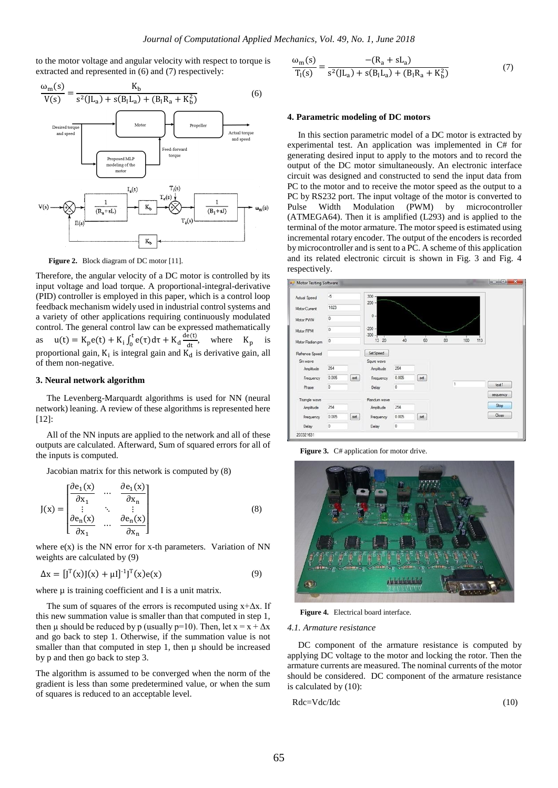to the motor voltage and angular velocity with respect to torque is extracted and represented in (6) and (7) respectively:



Figure 2. Block diagram of DC motor [11].

Therefore, the angular velocity of a DC motor is controlled by its input voltage and load torque. A proportional-integral-derivative (PID) controller is employed in this paper, which is a control loop feedback mechanism widely used in industrial control systems and a variety of other applications requiring continuously modulated control. The general control law can be expressed mathematically as  $u(t) = K_p e(t) + K_i \int_0^t e(\tau) d\tau$  $\int_0^t e(\tau) d\tau + K_d \frac{de(t)}{dt}$  $\frac{e(t)}{dt}$ , where  $K_p$  is proportional gain,  $K_i$  is integral gain and  $K_d$  is derivative gain, all of them non-negative.

#### **3. Neural network algorithm**

The Levenberg-Marquardt algorithms is used for NN (neural network) leaning. A review of these algorithms is represented here [12]:

All of the NN inputs are applied to the network and all of these outputs are calculated. Afterward, Sum of squared errors for all of the inputs is computed.

Jacobian matrix for this network is computed by (8)

$$
J(x) = \begin{bmatrix} \frac{\partial e_1(x)}{\partial x_1} & \cdots & \frac{\partial e_1(x)}{\partial x_n} \\ \vdots & \ddots & \vdots \\ \frac{\partial e_n(x)}{\partial x_1} & \cdots & \frac{\partial e_n(x)}{\partial x_n} \end{bmatrix}
$$
 (8)

where  $e(x)$  is the NN error for x-th parameters. Variation of NN weights are calculated by (9)

$$
\Delta x = [J^{T}(x)J(x) + \mu I]^{-1}J^{T}(x)e(x)
$$
\n(9)

where  $\mu$  is training coefficient and I is a unit matrix.

The sum of squares of the errors is recomputed using  $x + \Delta x$ . If this new summation value is smaller than that computed in step 1, then  $\mu$  should be reduced by p (usually p=10). Then, let  $x = x + \Delta x$ and go back to step 1. Otherwise, if the summation value is not smaller than that computed in step 1, then  $\mu$  should be increased by p and then go back to step 3.

The algorithm is assumed to be converged when the norm of the gradient is less than some predetermined value, or when the sum of squares is reduced to an acceptable level.

$$
\frac{\omega_{\rm m}(s)}{T_{\rm l}(s)} = \frac{-(R_{\rm a} + sL_{\rm a})}{s^2(JL_{\rm a}) + s(B_{\rm l}L_{\rm a}) + (B_{\rm l}R_{\rm a} + K_{\rm b}^2)}
$$
(7)

#### **4. Parametric modeling of DC motors**

In this section parametric model of a DC motor is extracted by experimental test. An application was implemented in C# for generating desired input to apply to the motors and to record the output of the DC motor simultaneously. An electronic interface circuit was designed and constructed to send the input data from PC to the motor and to receive the motor speed as the output to a PC by RS232 port. The input voltage of the motor is converted to Pulse Width Modulation (PWM) by microcontroller (ATMEGA64). Then it is amplified (L293) and is applied to the terminal of the motor armature. The motor speed is estimated using incremental rotary encoder. The output of the encoders is recorded by microcontroller and is sent to a PC. A scheme of this application and its related electronic circuit is shown in Fig. 3 and Fig. 4 respectively.



Figure 3. C# application for motor drive.



**Figure 4.** Electrical board interface.

#### *4.1. Armature resistance*

DC component of the armature resistance is computed by applying DC voltage to the motor and locking the rotor. Then the armature currents are measured. The nominal currents of the motor should be considered. DC component of the armature resistance is calculated by (10):

$$
Rdc = Vdc/Idc \tag{10}
$$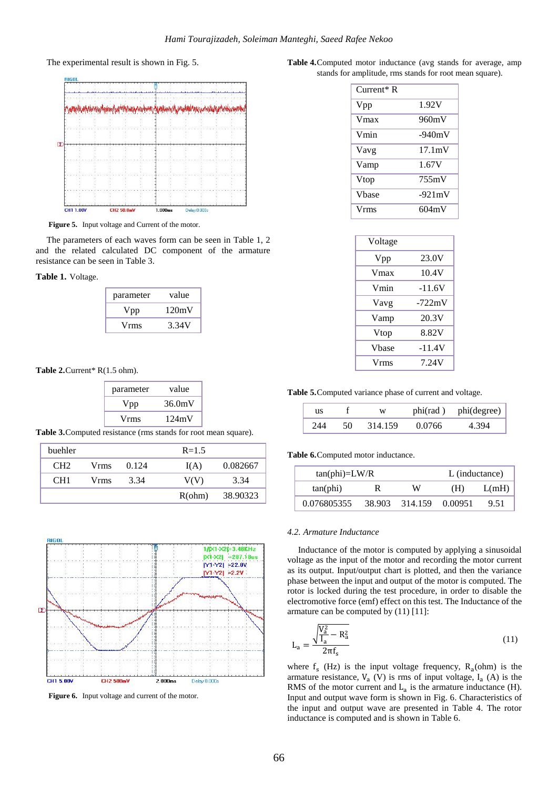The experimental result is shown in Fig. 5.



**Figure 5.** Input voltage and Current of the motor.

The parameters of each waves form can be seen in Table 1, 2 and the related calculated DC component of the armature resistance can be seen in Table 3.

**Table 1.** Voltage.

| parameter | value |
|-----------|-------|
| Vpp       | 120mV |
| Vrms      | 3.34V |

Table 2. Current\* R(1.5 ohm).

| parameter | value  |
|-----------|--------|
| Vpp       | 36.0mV |
| Vrms      | 124mV  |

**Table 3.**Computed resistance (rms stands for root mean square).

| buehler         |      |       | $R = 1.5$ |          |
|-----------------|------|-------|-----------|----------|
| CH <sub>2</sub> | Vrms | 0.124 | I(A)      | 0.082667 |
| CH <sub>1</sub> | Vrms | 3.34  | V(V)      | 3.34     |
|                 |      |       | R(ohm)    | 38.90323 |



**Figure 6.** Input voltage and current of the motor.

**Table 4.**Computed motor inductance (avg stands for average, amp stands for amplitude, rms stands for root mean square).

| $Current*$ R |                  |
|--------------|------------------|
| Vpp          | 1.92V            |
| Vmax         | 960mV            |
| Vmin         | $-940mV$         |
| Vavg         | $17.1 \text{mV}$ |
| Vamp         | 1.67V            |
| Vtop         | 755mV            |
| Vhase        | $-921 \text{mV}$ |
| Vrms         | 604mV            |

| Voltage |          |
|---------|----------|
| Vpp     | 23.0V    |
| Vmax    | 10.4V    |
| Vmin    | -11.6V   |
| Vavg    | $-722mV$ |
| Vamp    | 20.3V    |
| Vtop    | 8.82V    |
| Vbase   | -11.4V   |
| Vrms    | 7.24V    |
|         |          |

**Table 5.**Computed variance phase of current and voltage.

| us  |    | W       |        | phi(rad) phi(degree) |
|-----|----|---------|--------|----------------------|
| 244 | 50 | 314.159 | 0.0766 | 4 394                |

**Table 6.**Computed motor inductance.

| $tan(phi)=LW/R$ |        |                 | L (inductance) |       |
|-----------------|--------|-----------------|----------------|-------|
| $tan(\phi)$     |        | W               | (H)            | L(mH) |
| 0.076805355     | 38.903 | 314.159 0.00951 |                | 9.51  |

#### *4.2. Armature Inductance*

Inductance of the motor is computed by applying a sinusoidal voltage as the input of the motor and recording the motor current as its output. Input/output chart is plotted, and then the variance phase between the input and output of the motor is computed. The rotor is locked during the test procedure, in order to disable the electromotive force (emf) effect on this test. The Inductance of the armature can be computed by (11) [11]:

$$
L_{a} = \frac{\sqrt{\frac{V_{a}^{2}}{I_{a}} - R_{a}^{2}}}{2\pi f_{s}}
$$
\n(11)

where  $f_s$  (Hz) is the input voltage frequency,  $R_a$ (ohm) is the armature resistance,  $V_a$  (V) is rms of input voltage,  $I_a$  (A) is the RMS of the motor current and  $L_a$  is the armature inductance (H). Input and output wave form is shown in Fig. 6. Characteristics of the input and output wave are presented in Table 4. The rotor inductance is computed and is shown in Table 6.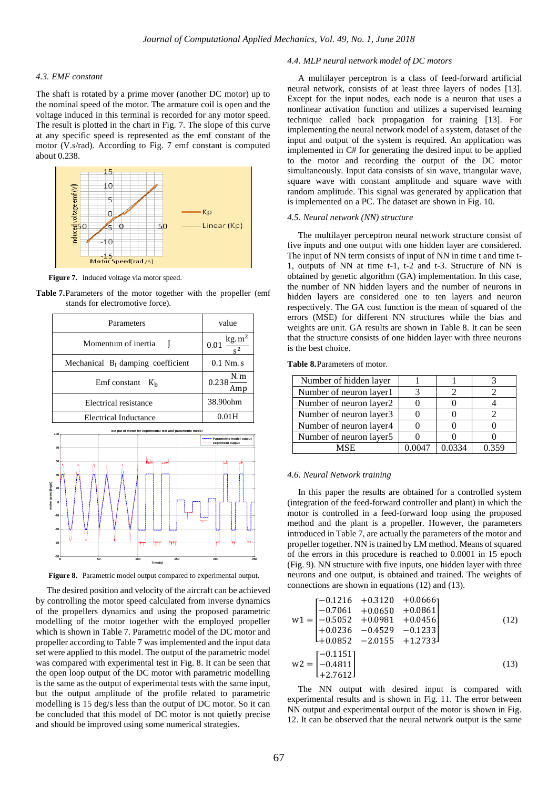#### *4.3. EMF constant*

The shaft is rotated by a prime mover (another DC motor) up to the nominal speed of the motor. The armature coil is open and the voltage induced in this terminal is recorded for any motor speed. The result is plotted in the chart in Fig. 7. The slope of this curve at any specific speed is represented as the emf constant of the motor (V.s/rad). According to Fig. 7 emf constant is computed about 0.238.



Figure 7. Induced voltage via motor speed.

**Table 7.**Parameters of the motor together with the propeller (emf stands for electromotive force).



**Figure 8.** Parametric model output compared to experimental output.

The desired position and velocity of the aircraft can be achieved by controlling the motor speed calculated from inverse dynamics of the propellers dynamics and using the proposed parametric modelling of the motor together with the employed propeller which is shown in Table 7. Parametric model of the DC motor and propeller according to Table 7 was implemented and the input data set were applied to this model. The output of the parametric model was compared with experimental test in Fig. 8. It can be seen that the open loop output of the DC motor with parametric modelling is the same as the output of experimental tests with the same input, but the output amplitude of the profile related to parametric modelling is 15 deg/s less than the output of DC motor. So it can be concluded that this model of DC motor is not quietly precise and should be improved using some numerical strategies.

#### *4.4. MLP neural network model of DC motors*

A multilayer perceptron is a class of feed-forward artificial neural network, consists of at least three layers of nodes [13]. Except for the input nodes, each node is a neuron that uses a nonlinear activation function and utilizes a supervised learning technique called back propagation for training [13]. For implementing the neural network model of a system, dataset of the input and output of the system is required. An application was implemented in C# for generating the desired input to be applied to the motor and recording the output of the DC motor simultaneously. Input data consists of sin wave, triangular wave, square wave with constant amplitude and square wave with random amplitude. This signal was generated by application that is implemented on a PC. The dataset are shown in Fig. 10.

#### *4.5. Neural network (NN) structure*

The multilayer perceptron neural network structure consist of five inputs and one output with one hidden layer are considered. The input of NN term consists of input of NN in time t and time t-1, outputs of NN at time t-1, t-2 and t-3. Structure of NN is obtained by genetic algorithm (GA) implementation. In this case, the number of NN hidden layers and the number of neurons in hidden layers are considered one to ten layers and neuron respectively. The GA cost function is the mean of squared of the errors (MSE) for different NN structures while the bias and weights are unit. GA results are shown in Table 8. It can be seen that the structure consists of one hidden layer with three neurons is the best choice.

**Table 8.**Parameters of motor.

| Number of hidden layer  |        |       |
|-------------------------|--------|-------|
| Number of neuron layer1 |        |       |
| Number of neuron layer2 |        |       |
| Number of neuron layer3 |        |       |
| Number of neuron layer4 |        |       |
| Number of neuron layer5 |        |       |
| MSE                     | በ በ334 | በ 359 |

#### *4.6. Neural Network training*

In this paper the results are obtained for a controlled system (integration of the feed-forward controller and plant) in which the motor is controlled in a feed-forward loop using the proposed method and the plant is a propeller. However, the parameters introduced in Table 7, are actually the parameters of the motor and propeller together. NN is trained by LM method. Means of squared of the errors in this procedure is reached to 0.0001 in 15 epoch (Fig. 9). NN structure with five inputs, one hidden layer with three neurons and one output, is obtained and trained. The weights of connections are shown in equations (12) and (13).

$$
w1 = \begin{bmatrix} -0.1216 & +0.3120 & +0.0666 \\ -0.7061 & +0.0650 & +0.0861 \\ -0.5052 & +0.0981 & +0.0456 \\ +0.0236 & -0.4529 & -0.1233 \\ +0.0852 & -2.0155 & +1.2733 \end{bmatrix}
$$
(12)  

$$
w2 = \begin{bmatrix} -0.1151 \\ -0.4811 \end{bmatrix}
$$
(13)

+2.7612 The NN output with desired input is compared with experimental results and is shown in Fig. 11. The error between NN output and experimental output of the motor is shown in Fig. 12. It can be observed that the neural network output is the same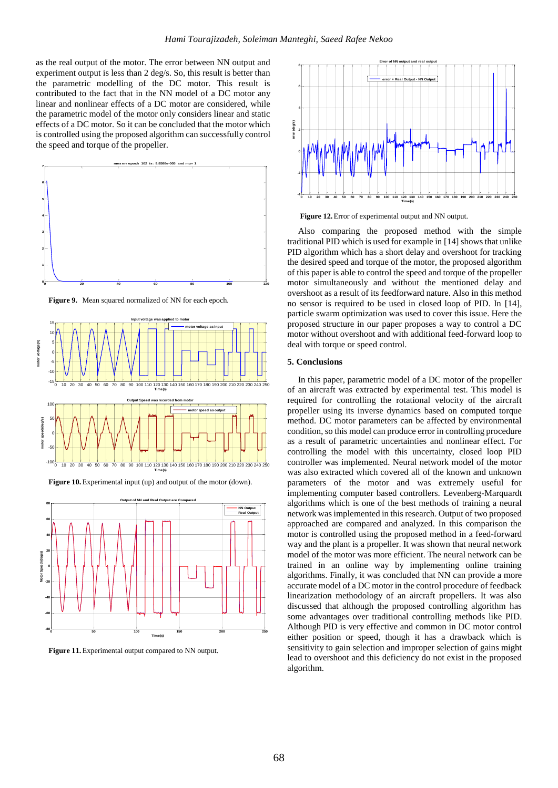as the real output of the motor. The error between NN output and experiment output is less than 2 deg/s. So, this result is better than the parametric modelling of the DC motor. This result is contributed to the fact that in the NN model of a DC motor any linear and nonlinear effects of a DC motor are considered, while the parametric model of the motor only considers linear and static effects of a DC motor. So it can be concluded that the motor which is controlled using the proposed algorithm can successfully control the speed and torque of the propeller.



**Figure 9.** Mean squared normalized of NN for each epoch.



**Figure 10.** Experimental input (up) and output of the motor (down).



**Figure 11.** Experimental output compared to NN output.



Figure 12. Error of experimental output and NN output.

Also comparing the proposed method with the simple traditional PID which is used for example in [14] shows that unlike PID algorithm which has a short delay and overshoot for tracking the desired speed and torque of the motor, the proposed algorithm of this paper is able to control the speed and torque of the propeller motor simultaneously and without the mentioned delay and overshoot as a result of its feedforward nature. Also in this method no sensor is required to be used in closed loop of PID. In [14], particle swarm optimization was used to cover this issue. Here the proposed structure in our paper proposes a way to control a DC motor without overshoot and with additional feed-forward loop to deal with torque or speed control.

#### **5. Conclusions**

In this paper, parametric model of a DC motor of the propeller of an aircraft was extracted by experimental test. This model is required for controlling the rotational velocity of the aircraft propeller using its inverse dynamics based on computed torque method. DC motor parameters can be affected by environmental condition, so this model can produce error in controlling procedure as a result of parametric uncertainties and nonlinear effect. For controlling the model with this uncertainty, closed loop PID controller was implemented. Neural network model of the motor was also extracted which covered all of the known and unknown parameters of the motor and was extremely useful for implementing computer based controllers. Levenberg-Marquardt algorithms which is one of the best methods of training a neural network was implemented in this research. Output of two proposed approached are compared and analyzed. In this comparison the motor is controlled using the proposed method in a feed-forward way and the plant is a propeller. It was shown that neural network model of the motor was more efficient. The neural network can be trained in an online way by implementing online training algorithms. Finally, it was concluded that NN can provide a more accurate model of a DC motor in the control procedure of feedback linearization methodology of an aircraft propellers. It was also discussed that although the proposed controlling algorithm has some advantages over traditional controlling methods like PID. Although PID is very effective and common in DC motor control either position or speed, though it has a drawback which is sensitivity to gain selection and improper selection of gains might lead to overshoot and this deficiency do not exist in the proposed algorithm.